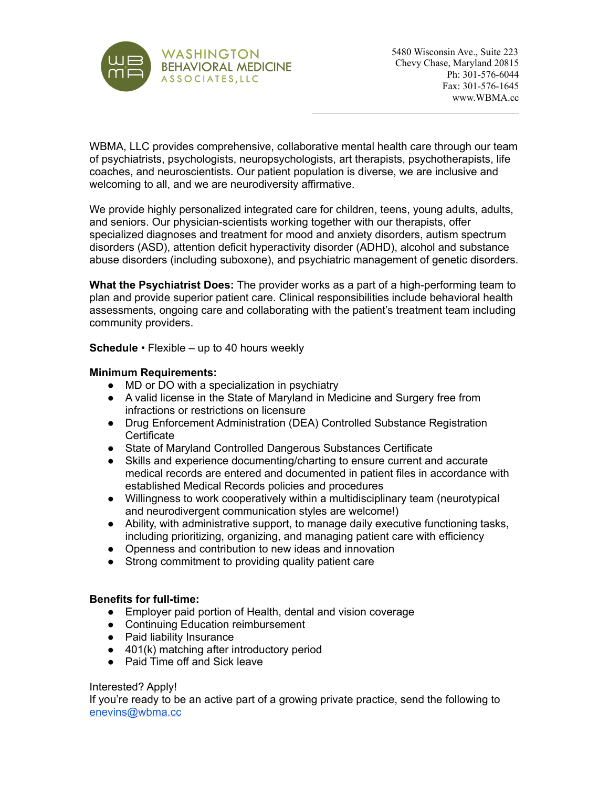

WBMA, LLC provides comprehensive, collaborative mental health care through our team of psychiatrists, psychologists, neuropsychologists, art therapists, psychotherapists, life coaches, and neuroscientists. Our patient population is diverse, we are inclusive and welcoming to all, and we are neurodiversity affirmative.

We provide highly personalized integrated care for children, teens, young adults, adults, and seniors. Our physician-scientists working together with our therapists, offer specialized diagnoses and treatment for mood and anxiety disorders, autism spectrum disorders (ASD), attention deficit hyperactivity disorder (ADHD), alcohol and substance abuse disorders (including suboxone), and psychiatric management of genetic disorders.

**What the Psychiatrist Does:** The provider works as a part of a high-performing team to plan and provide superior patient care. Clinical responsibilities include behavioral health assessments, ongoing care and collaborating with the patient's treatment team including community providers.

**Schedule** • Flexible – up to 40 hours weekly

## **Minimum Requirements:**

- MD or DO with a specialization in psychiatry
- A valid license in the State of Maryland in Medicine and Surgery free from infractions or restrictions on licensure
- Drug Enforcement Administration (DEA) Controlled Substance Registration **Certificate**
- State of Maryland Controlled Dangerous Substances Certificate
- Skills and experience documenting/charting to ensure current and accurate medical records are entered and documented in patient files in accordance with established Medical Records policies and procedures
- Willingness to work cooperatively within a multidisciplinary team (neurotypical and neurodivergent communication styles are welcome!)
- Ability, with administrative support, to manage daily executive functioning tasks, including prioritizing, organizing, and managing patient care with efficiency
- Openness and contribution to new ideas and innovation
- Strong commitment to providing quality patient care

## **Benefits for full-time:**

- Employer paid portion of Health, dental and vision coverage
- Continuing Education reimbursement
- Paid liability Insurance
- 401(k) matching after introductory period
- Paid Time off and Sick leave

## Interested? Apply!

If you're ready to be an active part of a growing private practice, send the following to [enevins@wbma.cc](mailto:enevins@wbma.cc)